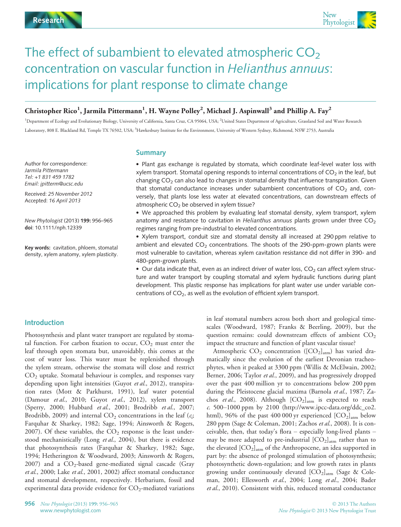

## The effect of subambient to elevated atmospheric  $CO<sub>2</sub>$ concentration on vascular function in Helianthus annuus: implications for plant response to climate change

## Christopher Rico $^1$ , Jarmila Pittermann $^1$ , H. Wayne Polley $^2$ , Michael J. Aspinwall $^3$  and Phillip A. Fay $^2$

<sup>1</sup>Department of Ecology and Evolutionary Biology, University of California, Santa Cruz, CA 95064, USA; <sup>2</sup>United States Department of Agriculture, Grassland Soil and Water Research Laboratory, 808 E. Blackland Rd, Temple TX 76502, USA; <sup>3</sup>Hawkesbury Institute for the Environment, University of Western Sydney, Richmond, NSW 2753, Australia

Author for correspondence: Jarmila Pittermann Tel: +1 831 459 1782 Email: jpitterm@ucsc.edu

Received: 25 November 2012 Accepted: 16 April 2013

New Phytologist (2013) 199: 956–965 doi: 10.1111/nph.12339

Key words: cavitation, phloem, stomatal density, xylem anatomy, xylem plasticity.

#### **Summary**

 Plant gas exchange is regulated by stomata, which coordinate leaf-level water loss with xylem transport. Stomatal opening responds to internal concentrations of  $CO<sub>2</sub>$  in the leaf, but changing  $CO<sub>2</sub>$  can also lead to changes in stomatal density that influence transpiration. Given that stomatal conductance increases under subambient concentrations of  $CO<sub>2</sub>$  and, conversely, that plants lose less water at elevated concentrations, can downstream effects of atmospheric  $CO<sub>2</sub>$  be observed in xylem tissue?

 We approached this problem by evaluating leaf stomatal density, xylem transport, xylem anatomy and resistance to cavitation in Helianthus annuus plants grown under three  $CO<sub>2</sub>$ regimes ranging from pre-industrial to elevated concentrations.

 Xylem transport, conduit size and stomatal density all increased at 290 ppm relative to ambient and elevated  $CO<sub>2</sub>$  concentrations. The shoots of the 290-ppm-grown plants were most vulnerable to cavitation, whereas xylem cavitation resistance did not differ in 390- and 480-ppm-grown plants.

 $\bullet$  Our data indicate that, even as an indirect driver of water loss, CO<sub>2</sub> can affect xylem structure and water transport by coupling stomatal and xylem hydraulic functions during plant development. This plastic response has implications for plant water use under variable concentrations of  $CO<sub>2</sub>$ , as well as the evolution of efficient xylem transport.

#### Introduction

Photosynthesis and plant water transport are regulated by stomatal function. For carbon fixation to occur,  $CO<sub>2</sub>$  must enter the leaf through open stomata but, unavoidably, this comes at the cost of water loss. This water must be replenished through the xylem stream, otherwise the stomata will close and restrict  $CO<sub>2</sub>$  uptake. Stomatal behaviour is complex, and responses vary depending upon light intensities (Guyot et al., 2012), transpiration rates (Mott & Parkhurst, 1991), leaf water potential (Damour et al., 2010; Guyot et al., 2012), xylem transport (Sperry, 2000; Hubbard et al., 2001; Brodribb et al., 2007; Brodribb, 2009) and internal  $CO<sub>2</sub>$  concentrations in the leaf ( $c<sub>i</sub>$ ; Farquhar & Sharkey, 1982; Sage, 1994; Ainsworth & Rogers, 2007). Of these variables, the  $CO<sub>2</sub>$  response is the least understood mechanistically (Long et al., 2004), but there is evidence that photosynthesis rates (Farquhar & Sharkey, 1982; Sage, 1994; Hetherington & Woodward, 2003; Ainsworth & Rogers, 2007) and a  $CO_2$ -based gene-mediated signal cascade (Gray et al., 2000; Lake et al., 2001, 2002) affect stomatal conductance and stomatal development, respectively. Herbarium, fossil and experimental data provide evidence for  $CO_2$ -mediated variations

in leaf stomatal numbers across both short and geological timescales (Woodward, 1987; Franks & Beerling, 2009), but the question remains: could downstream effects of ambient  $CO<sub>2</sub>$ impact the structure and function of plant vascular tissue?

Atmospheric  $CO_2$  concentration ([ $CO_2$ ]<sub>atm</sub>) has varied dramatically since the evolution of the earliest Devonian tracheophytes, when it peaked at 3300 ppm (Willis & McElwain, 2002; Berner, 2006; Taylor et al., 2009), and has progressively dropped over the past 400 million yr to concentrations below 200 ppm during the Pleistocene glacial maxima (Barnola et al., 1987; Zachos et al., 2008). Although  $[CO_2]_{atm}$  is expected to reach c. 500–1000 ppm by 2100 (http://www.ipcc-data.org/ddc\_co2. html), 96% of the past 400 000 yr experienced  $[CO<sub>2</sub>]<sub>arm</sub>$  below 280 ppm (Sage & Coleman, 2001; Zachos et al., 2008). It is conceivable, then, that today's flora – especially long-lived plants – may be more adapted to pre-industrial  $[CO<sub>2</sub>]<sub>atm</sub>$  rather than to the elevated  $[CO_2]_{atm}$  of the Anthropocene, an idea supported in part by: the absence of prolonged stimulation of photosynthesis; photosynthetic down-regulation; and low growth rates in plants growing under continuously elevated  $[CO_2]_{\text{atm}}$  (Sage & Coleman, 2001; Ellesworth et al., 2004; Long et al., 2004; Bader et al., 2010). Consistent with this, reduced stomatal conductance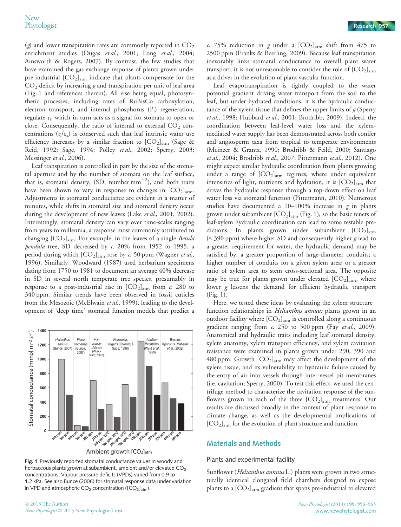(g) and lower transpiration rates are commonly reported in  $CO<sub>2</sub>$ enrichment studies (Dugas et al., 2001; Long et al., 2004; Ainsworth & Rogers, 2007). By contrast, the few studies that have examined the gas-exchange response of plants grown under pre-industrial  $[CO_2]_{atm}$  indicate that plants compensate for the  $CO<sub>2</sub>$  deficit by increasing g and transpiration per unit of leaf area (Fig. 1 and references therein). All else being equal, photosynthetic processes, including rates of RuBisCo carboxylation, electron transport, and internal phosphorus  $(P_i)$  regeneration, regulate  $c_i$ , which in turn acts as a signal for stomata to open or close. Consequently, the ratio of internal to external  $CO<sub>2</sub>$  concentrations  $(c_i/c_a)$  is conserved such that leaf intrinsic water use efficiency increases by a similar fraction to  $[CO<sub>2</sub>]_{atm}$  (Sage & Reid, 1992; Sage, 1994; Polley et al., 2002; Sperry, 2003; Messinger et al., 2006).

Leaf transpiration is controlled in part by the size of the stomatal aperture and by the number of stomata on the leaf surface, that is, stomatal density, (SD; number  $\text{mm}^{-2}$ ), and both traits have been shown to vary in response to changes in  $[CO<sub>2</sub>]_{atm}$ . Adjustments in stomatal conductance are evident in a matter of minutes, while shifts in stomatal size and stomatal density occur during the development of new leaves (Lake et al., 2001, 2002). Interestingly, stomatal density can vary over time-scales ranging from years to millennia, a response most commonly attributed to changing  $[CO_2]_{\text{atm}}$ . For example, in the leaves of a single *Betula* pendula tree, SD decreased by c. 20% from 1952 to 1995, a period during which  $[CO_2]_{atm}$  rose by c. 50 ppm (Wagner et al., 1996). Similarly, Woodward (1987) used herbarium specimens dating from 1750 to 1981 to document an average 40% decrease in SD in several north temperate tree species, presumably in response to a post-industrial rise in  $[CO<sub>2</sub>]<sub>atm</sub>$  from c. 280 to 340 ppm. Similar trends have been observed in fossil cuticles from the Mesozoic (McElwain et al., 1999), leading to the development of 'deep time' stomatal function models that predict a



Fig. 1 Previously reported stomatal conductance values in woody and herbaceous plants grown at subambient, ambient and/or elevated CO<sub>2</sub> concentrations. Vapour pressure deficits (VPDs) varied from 0.9 to 1.2 kPa. See also Bunce (2006) for stomatal response data under variation in VPD and atmospheric  $CO_2$  concentration ([ $CO_2$ ]<sub>atm</sub>).

c. 75% reduction in g under a  $[CO<sub>2</sub>]<sub>atm</sub>$  shift from 475 to 2500 ppm (Franks & Beerling, 2009). Because leaf transpiration inexorably links stomatal conductance to overall plant water transport, it is not unreasonable to consider the role of  $[CO<sub>2</sub>]<sub>atm</sub>$ as a driver in the evolution of plant vascular function.

Leaf evapotranspiration is tightly coupled to the water potential gradient driving water transport from the soil to the leaf, but under hydrated conditions, it is the hydraulic conductance of the xylem tissue that defines the upper limits of  $g$  (Sperry et al., 1998; Hubbard et al., 2001; Brodribb, 2009). Indeed, the coordination between leaf-level water loss and the xylemmediated water supply has been demonstrated across both conifer and angiosperm taxa from tropical to temperate environments (Meinzer & Grantz, 1990; Brodribb & Feild, 2000; Santiago et al., 2004; Brodribb et al., 2007; Pittermann et al., 2012). One might expect similar hydraulic coordination from plants growing under a range of  $[CO_2]_{atm}$  regimes, where under equivalent intensities of light, nutrients and hydration, it is  $[CO<sub>2</sub>]<sub>atm</sub>$  that drives the hydraulic response through a top-down effect on leaf water loss via stomatal function (Pittermann, 2010). Numerous studies have documented a  $10-100\%$  increase in g in plants grown under subambient  $[CO_2]_{atm}$  (Fig. 1), so the basic tenets of leaf-xylem hydraulic coordination can lead to some testable predictions. In plants grown under subambient  $[CO<sub>2</sub>]_{\text{atm}}$  $(<$ 390 ppm) where higher SD and consequently higher g lead to a greater requirement for water, the hydraulic demand may be satisfied by: a greater proportion of large-diameter conduits; a higher number of conduits for a given xylem area; or a greater ratio of xylem area to stem cross-sectional area. The opposite may be true for plants grown under elevated  $[CO_2]_{atm}$ , where lower g lessens the demand for efficient hydraulic transport (Fig. 1).

Here, we tested these ideas by evaluating the xylem structure– function relationships in *Helianthus annuus* plants grown in an outdoor facility where  $[CO_2]_{atm}$  is controlled along a continuous gradient ranging from c. 250 to 500 ppm (Fay et al., 2009). Anatomical and hydraulic traits including leaf stomatal density, xylem anatomy, xylem transport efficiency, and xylem cavitation resistance were examined in plants grown under 290, 390 and 480 ppm. Growth  $[CO_2]_{\text{atm}}$  may affect the development of the xylem tissue, and its vulnerability to hydraulic failure caused by the entry of air into vessels through inter-vessel pit membranes (i.e. cavitation; Sperry, 2000). To test this effect, we used the centrifuge method to characterize the cavitation response of the sunflowers grown in each of the three  $[CO<sub>2</sub>]<sub>atm</sub>$  treatments. Our results are discussed broadly in the context of plant response to climate change, as well as the developmental implications of  $[CO<sub>2</sub>]_{\text{atm}}$  for the evolution of plant structure and function.

### Materials and Methods

#### Plants and experimental facility

Sunflower (*Helianthus annuus* L.) plants were grown in two structurally identical elongated field chambers designed to expose plants to a  $[CO_2]_{\text{atm}}$  gradient that spans pre-industrial to elevated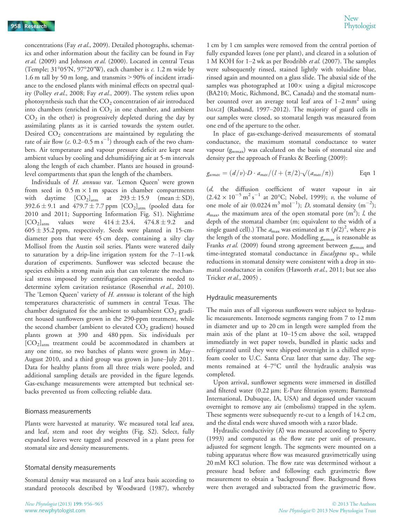concentrations (Fay et al., 2009). Detailed photographs, schematics and other information about the facility can be found in Fay et al. (2009) and Johnson et al. (2000). Located in central Texas (Temple; 31°05′N, 97°20′W), each chamber is c. 1.2 m wide by 1.6 m tall by 50 m long, and transmits > 90% of incident irradiance to the enclosed plants with minimal effects on spectral quality (Polley et al., 2008; Fay et al., 2009). The system relies upon photosynthesis such that the  $CO<sub>2</sub>$  concentration of air introduced into chambers (enriched in  $CO<sub>2</sub>$  in one chamber, and ambient  $CO<sub>2</sub>$  in the other) is progressively depleted during the day by assimilating plants as it is carried towards the system outlet. Desired  $CO<sub>2</sub>$  concentrations are maintained by regulating the rate of air flow ( $c$ . 0.2–0.5 m s<sup>-1</sup>) through each of the two chambers. Air temperature and vapour pressure deficit are kept near ambient values by cooling and dehumidifying air at 5-m intervals along the length of each chamber. Plants are housed in groundlevel compartments that span the length of the chambers.

Individuals of H. annuus var. 'Lemon Queen' were grown from seed in  $0.5 \text{ m} \times 1 \text{ m}$  spaces in chamber compartments with daytime  $[CO_2]_{\text{atm}}$  at  $293 \pm 15.9$  (mean  $\pm$  SD), 392.6 ± 9.1 and 479.7 ± 7.7 ppm  $[CO_2]_{\text{atm}}$  (pooled data for 2010 and 2011; Supporting Information Fig. S1). Nighttime  $[CO_2]_{\text{atm}}$  values were  $414 \pm 23.4$ ,  $474.8 \pm 9.2$  and  $605 \pm 35.2$  ppm, respectively. Seeds were planted in 15-cmdiameter pots that were 45 cm deep, containing a silty clay Mollisol from the Austin soil series. Plants were watered daily to saturation by a drip-line irrigation system for the 7–11-wk duration of experiments. Sunflower was selected because the species exhibits a strong main axis that can tolerate the mechanical stress imposed by centrifugation experiments needed to determine xylem cavitation resistance (Rosenthal et al., 2010). The 'Lemon Queen' variety of *H. annuus* is tolerant of the high temperatures characteristic of summers in central Texas. The chamber designated for the ambient to subambient  $CO<sub>2</sub>$  gradient housed sunflowers grown in the 290-ppm treatment, while the second chamber (ambient to elevated  $CO<sub>2</sub>$  gradient) housed plants grown at 390 and 480 ppm. Six individuals per  $[CO<sub>2</sub>]<sub>atm</sub>$  treatment could be accommodated in chambers at any one time, so two batches of plants were grown in May– August 2010, and a third group was grown in June–July 2011. Data for healthy plants from all three trials were pooled, and additional sampling details are provided in the figure legends. Gas-exchange measurements were attempted but technical setbacks prevented us from collecting reliable data.

#### Biomass measurements

Plants were harvested at maturity. We measured total leaf area, and leaf, stem and root dry weights (Fig. S2). Select, fully expanded leaves were tagged and preserved in a plant press for stomatal size and density measurements.

#### Stomatal density measurements

Stomatal density was measured on a leaf area basis according to standard protocols described by Woodward (1987), whereby

1 cm by 1 cm samples were removed from the central portion of fully expanded leaves (one per plant), and cleared in a solution of 1 M KOH for  $1-2$  wk as per Brodribb *et al.* (2007). The samples were subsequently rinsed, stained lightly with toluidine blue, rinsed again and mounted on a glass slide. The abaxial side of the samples was photographed at  $100 \times$  using a digital microscope (BA210; Motic, Richmond, BC, Canada) and the stomatal number counted over an average total leaf area of  $1-2$  mm<sup>2</sup> using IMAGEJ (Rasband, 1997–2012). The majority of guard cells in our samples were closed, so stomatal length was measured from one end of the aperture to the other.

In place of gas-exchange-derived measurements of stomatal conductance, the maximum stomatal conductance to water vapour (gwmax) was calculated on the basis of stomatal size and density per the approach of Franks & Beerling (2009):

$$
g_{wmax} = (d/v) \cdot D \cdot a_{max} / (l + (\pi/2) \cdot \sqrt{(a_{max}/\pi)})
$$
 Eqn 1

(d, the diffusion coefficient of water vapour in air  $(2.42 \times 10^{-5} \text{ m}^2 \text{ s}^{-1}$  at 20°C; Nobel, 1999); v, the volume of one mole of air (0.0224  $m^3$  mol<sup>-1</sup>); *D*, stomatal density  $(m^{-2})$ ;  $a_{\text{max}}$ , the maximum area of the open stomatal pore (m<sup>2</sup>); *l*, the depth of the stomatal chamber (m; equivalent to the width of a single guard cell).) The  $a_{\text{max}}$  was estimated as  $\pi (p/2)^2$ , where  $p$  is the length of the stomatal pore. Modelling  $g_{\text{wmax}}$  is reasonable as Franks et al. (2009) found strong agreement between  $g_{\text{wmax}}$  and time-integrated stomatal conductance in *Eucalyptus* sp., while reductions in stomatal density were consistent with a drop in stomatal conductance in conifers (Haworth et al., 2011; but see also Tricker et al., 2005) .

#### Hydraulic measurements

The main axes of all vigorous sunflowers were subject to hydraulic measurements. Internode segments ranging from 7 to 12 mm in diameter and up to 20 cm in length were sampled from the main axis of the plant at 10–15 cm above the soil, wrapped immediately in wet paper towels, bundled in plastic sacks and refrigerated until they were shipped overnight in a chilled styrofoam cooler to U.C. Santa Cruz later that same day. The segments remained at 4–7°C until the hydraulic analysis was completed.

Upon arrival, sunflower segments were immersed in distilled and filtered water  $(0.22 \mu m; E$ -Pure filtration system; Barnstead International, Dubuque, IA, USA) and degassed under vacuum overnight to remove any air (embolisms) trapped in the xylem. These segments were subsequently re-cut to a length of 14.2 cm, and the distal ends were shaved smooth with a razor blade.

Hydraulic conductivity  $(K)$  was measured according to Sperry (1993) and computed as the flow rate per unit of pressure, adjusted for segment length. The segments were mounted on a tubing apparatus where flow was measured gravimetrically using 20 mM KCl solution. The flow rate was determined without a pressure head before and following each gravimetric flow measurement to obtain a 'background' flow. Background flows were then averaged and subtracted from the gravimetric flow.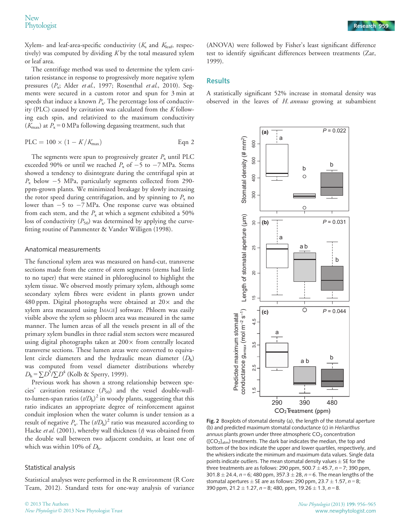Xylem- and leaf-area-specific conductivity  $(K_s$  and  $K_{\text{leaf}}$ , respectively) was computed by dividing  $K$  by the total measured xylem or leaf area.

The centrifuge method was used to determine the xylem cavitation resistance in response to progressively more negative xylem pressures  $(P_x;$  Alder et al., 1997; Rosenthal et al., 2010). Segments were secured in a custom rotor and spun for 3 min at speeds that induce a known  $P_x$ . The percentage loss of conductivity (PLC) caused by cavitation was calculated from the  $K$  following each spin, and relativized to the maximum conductivity ( $K_{\text{max}}$ ) at  $P_x = 0$  MPa following degassing treatment, such that

$$
PLC = 100 \times (1 - K/K_{\text{max}})
$$
 Eqn 2

The segments were spun to progressively greater  $P_x$  until PLC exceeded 90% or until we reached  $P_x$  of  $-5$  to  $-7$  MPa. Stems showed a tendency to disintegrate during the centrifugal spin at  $P_x$  below  $-5$  MPa, particularly segments collected from 290ppm-grown plants. We minimized breakage by slowly increasing the rotor speed during centrifugation, and by spinning to  $P_x$  no lower than  $-5$  to  $-7$  MPa. One response curve was obtained from each stem, and the  $P_x$  at which a segment exhibited a 50% loss of conductivity  $(P_{50})$  was determined by applying the curvefitting routine of Pammenter & Vander Willigen (1998).

#### Anatomical measurements

The functional xylem area was measured on hand-cut, transverse sections made from the centre of stem segments (stems had little to no taper) that were stained in phloroglucinol to highlight the xylem tissue. We observed mostly primary xylem, although some secondary xylem fibres were evident in plants grown under 480 ppm. Digital photographs were obtained at  $20\times$  and the xylem area measured using IMAGEJ software. Phloem was easily visible above the xylem so phloem area was measured in the same manner. The lumen areas of all the vessels present in all of the primary xylem bundles in three radial stem sectors were measured using digital photographs taken at  $200 \times$  from centrally located transverse sections. These lumen areas were converted to equivalent circle diameters and the hydraulic mean diameter  $(D<sub>h</sub>)$ was computed from vessel diameter distributions whereby  $D_{\rm h} = \sum D^5 / \sum D^4$  (Kolb & Sperry, 1999).

Previous work has shown a strong relationship between species' cavitation resistance  $(P_{50})$  and the vessel double-wallto-lumen-span ratios  $\left({\it t}/D_{\rm h}\right)^2$  in woody plants, suggesting that this ratio indicates an appropriate degree of reinforcement against conduit implosion when the water column is under tension as a result of negative  $P_x$ . The  $(t/D_h)^2$  ratio was measured according to Hacke et al. (2001), whereby wall thickness  $(t)$  was obtained from the double wall between two adjacent conduits, at least one of which was within 10% of  $D_h$ .

#### Statistical analysis

Statistical analyses were performed in the R environment (R Core Team, 2012). Standard tests for one-way analysis of variance

(ANOVA) were followed by Fisher's least significant difference test to identify significant differences between treatments (Zar, 1999).

#### **Results**

A statistically significant 52% increase in stomatal density was observed in the leaves of H. annuus growing at subambient



Fig. 2 Boxplots of stomatal density (a), the length of the stomatal aperture (b) and predicted maximum stomatal conductance (c) in Helianthus annuus plants grown under three atmospheric  $CO<sub>2</sub>$  concentration  $( [CO<sub>2</sub>]<sub>atm</sub>)$  treatments. The dark bar indicates the median, the top and bottom of the box indicate the upper and lower quartiles, respectively, and the whiskers indicate the minimum and maximum data values. Single data points indicate outliers. The mean stomatal density values  $\pm$  SE for the three treatments are as follows: 290 ppm, 500.7  $\pm$  45.7, n = 7; 390 ppm, 301.8  $\pm$  24.4, n = 6; 480 ppm, 357.3  $\pm$  28, n = 6. The mean lengths of the stomatal apertures  $\pm$  SE are as follows: 290 ppm, 23.7  $\pm$  1.57, n = 8; 390 ppm,  $21.2 \pm 1.27$ ,  $n = 8$ ; 480, ppm,  $19.26 \pm 1.3$ ,  $n = 8$ .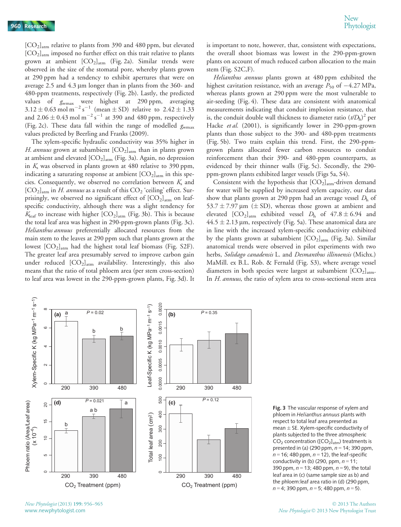[CO2]atm relative to plants from 390 and 480 ppm, but elevated [CO2]atm imposed no further effect on this trait relative to plants grown at ambient  $[CO_2]_{atm}$  (Fig. 2a). Similar trends were observed in the size of the stomatal pore, whereby plants grown at 290 ppm had a tendency to exhibit apertures that were on average 2.5 and  $4.3 \mu m$  longer than in plants from the 360- and 480-ppm treatments, respectively (Fig. 2b). Lastly, the predicted values of g<sub>wmax</sub> were highest at 290 ppm, averaging  $3.12 \pm 0.63$  mol m<sup>-2</sup> s<sup>-1</sup> (mean  $\pm$  SD) relative to  $2.42 \pm 1.33$ and  $2.06 \pm 0.43$  mol m<sup>-2</sup> s<sup>-1</sup> at 390 and 480 ppm, respectively (Fig. 2c). These data fall within the range of modelled  $g_{\text{wmax}}$ values predicted by Beerling and Franks (2009).

The xylem-specific hydraulic conductivity was 35% higher in H. annuus grown at subambient  $[CO_2]_{atm}$  than in plants grown at ambient and elevated [CO<sub>2</sub>]<sub>atm</sub> (Fig. 3a). Again, no depression in  $K<sub>s</sub>$  was observed in plants grown at 480 relative to 390 ppm, indicating a saturating response at ambient  $[CO<sub>2</sub>]<sub>atm</sub>$  in this species. Consequently, we observed no correlation between  $K<sub>s</sub>$  and  $[CO<sub>2</sub>]_{atm}$  in *H. annuus* as a result of this  $CO<sub>2</sub>$  'ceiling' effect. Surprisingly, we observed no significant effect of  $[CO<sub>2</sub>]<sub>atm</sub>$  on leafspecific conductivity, although there was a slight tendency for  $K_{\text{leaf}}$  to increase with higher  $[CO_2]_{\text{atm}}$  (Fig. 3b). This is because the total leaf area was highest in 290-ppm-grown plants (Fig. 3c). Helianthus annuus preferentially allocated resources from the main stem to the leaves at 290 ppm such that plants grown at the lowest  $[CO_2]_{\text{atm}}$  had the highest total leaf biomass (Fig. S2F). The greater leaf area presumably served to improve carbon gain under reduced  $[CO<sub>2</sub>]<sub>atm</sub>$  availability. Interestingly, this also means that the ratio of total phloem area (per stem cross-section) to leaf area was lowest in the 290-ppm-grown plants, Fig. 3d). It

is important to note, however, that, consistent with expectations, the overall shoot biomass was lowest in the 290-ppm-grown plants on account of much reduced carbon allocation to the main stem (Fig. S2C,F).

Helianthus annuus plants grown at 480 ppm exhibited the highest cavitation resistance, with an average  $P_{50}$  of  $-4.27$  MPa, whereas plants grown at 290 ppm were the most vulnerable to air-seeding (Fig. 4). These data are consistent with anatomical measurements indicating that conduit implosion resistance, that is, the conduit double wall thickness to diameter ratio  $(t/D<sub>h</sub>)<sup>2</sup>$  per Hacke et al. (2001), is significantly lower in 290-ppm-grown plants than those subject to the 390- and 480-ppm treatments (Fig. 5b). Two traits explain this trend. First, the 290-ppmgrown plants allocated fewer carbon resources to conduit reinforcement than their 390- and 480-ppm counterparts, as evidenced by their thinner walls (Fig. 5c). Secondly, the 290 ppm-grown plants exhibited larger vessels (Figs 5a, S4).

Consistent with the hypothesis that  $[CO<sub>2</sub>]<sub>atm</sub>$ -driven demand for water will be supplied by increased xylem capacity, our data show that plants grown at 290 ppm had an average vessel  $D<sub>h</sub>$  of 53.7  $\pm$  7.97 µm ( $\pm$  SD), whereas those grown at ambient and elevated  $[CO_2]_{\text{atm}}$  exhibited vessel  $D_h$  of  $47.8 \pm 6.94$  and  $44.5 \pm 2.13$  µm, respectively (Fig. 5a). These anatomical data are in line with the increased xylem-specific conductivity exhibited by the plants grown at subambient  $[CO<sub>2</sub>]_{atm}$  (Fig. 3a). Similar anatomical trends were observed in pilot experiments with two herbs, Solidago canadensis L. and Desmanthus illinoensis (Michx.) MaMill. ex B.L. Rob. & Fernald (Fig. S3), where average vessel diameters in both species were largest at subambient  $[CO<sub>2</sub>]<sub>atm</sub>$ . In H. annuus, the ratio of xylem area to cross-sectional stem area



Fig. 3 The vascular response of xylem and phloem in Helianthus annuus plants with respect to total leaf area presented as mean  $\pm$  SE. Xylem-specific conductivity of plants subjected to the three atmospheric  $CO<sub>2</sub>$  concentration ([CO<sub>2</sub>]<sub>atm</sub>) treatments is presented in (a) (290 ppm,  $n = 14$ ; 390 ppm,  $n = 16$ ; 480 ppm,  $n = 12$ ), the leaf-specific conductivity in (b) (290, ppm,  $n = 11$ ; 390 ppm,  $n = 13$ ; 480 ppm,  $n = 9$ ), the total leaf area in (c) (same sample size as b) and the phloem:leaf area ratio in (d) (290 ppm,  $n = 4$ ; 390 ppm,  $n = 5$ ; 480 ppm,  $n = 5$ ).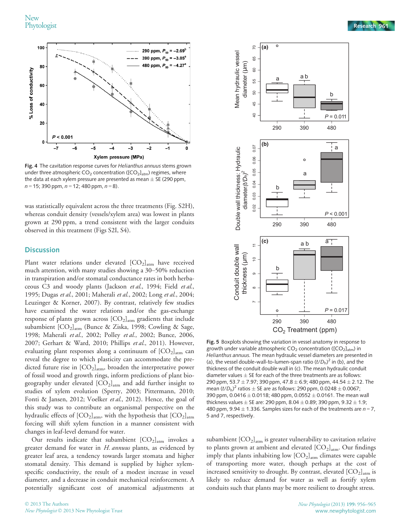

Fig. 4 The cavitation response curves for Helianthus annuus stems grown under three atmospheric  $CO_2$  concentration ([ $CO_2$ ]<sub>atm</sub>) regimes, where the data at each xylem pressure are presented as mean  $\pm$  SE (290 ppm,  $n = 15$ ; 390 ppm,  $n = 12$ ; 480 ppm,  $n = 8$ ).

was statistically equivalent across the three treatments (Fig. S2H), whereas conduit density (vessels/xylem area) was lowest in plants grown at 290 ppm, a trend consistent with the larger conduits observed in this treatment (Figs S2I, S4).

#### **Discussion**

Plant water relations under elevated  $[CO_2]_{atm}$  have received much attention, with many studies showing a 30–50% reduction in transpiration and/or stomatal conductance rates in both herbaceous C3 and woody plants (Jackson et al., 1994; Field et al., 1995; Dugas et al., 2001; Maherali et al., 2002; Long et al., 2004; Leuzinger & Korner, 2007). By contrast, relatively few studies have examined the water relations and/or the gas-exchange response of plants grown across  $[CO_2]_{\text{atm}}$  gradients that include subambient [CO<sub>2</sub>]<sub>atm</sub> (Bunce & Ziska, 1998; Cowling & Sage, 1998; Maherali et al., 2002; Polley et al., 2002; Bunce, 2006, 2007; Gerhart & Ward, 2010; Phillips et al., 2011). However, evaluating plant responses along a continuum of  $[CO<sub>2</sub>]<sub>atm</sub>$  can reveal the degree to which plasticity can accommodate the predicted future rise in  $[CO_2]_{\text{atm}}$ , broaden the interpretative power of fossil wood and growth rings, inform predictions of plant biogeography under elevated  $[CO_2]_{atm}$  and add further insight to studies of xylem evolution (Sperry, 2003; Pittermann, 2010; Fonti & Jansen, 2012; Voelker et al., 2012). Hence, the goal of this study was to contribute an organismal perspective on the hydraulic effects of  $[CO_2]_{atm}$ , with the hypothesis that  $[CO_2]_{atm}$ forcing will shift xylem function in a manner consistent with changes in leaf-level demand for water.

Our results indicate that subambient  $[CO<sub>2</sub>]<sub>arm</sub>$  invokes a greater demand for water in *H. annuus* plants, as evidenced by greater leaf area, a tendency towards larger stomata and higher stomatal density. This demand is supplied by higher xylemspecific conductivity, the result of a modest increase in vessel diameter, and a decrease in conduit mechanical reinforcement. A potentially significant cost of anatomical adjustments at



**(a)**

70

65

 $\circ$ 

Fig. 5 Boxplots showing the variation in vessel anatomy in response to growth under variable atmospheric  $CO<sub>2</sub>$  concentration ([CO<sub>2</sub>]<sub>atm</sub>) in Helianthus annuus. The mean hydraulic vessel diameters are presented in (a), the vessel double-wall-to-lumen-span ratio  $(t/D<sub>h</sub>)<sup>2</sup>$  in (b), and the thickness of the conduit double wall in (c). The mean hydraulic conduit diameter values  $\pm$  SE for each of the three treatments are as follows: 290 ppm, 53.7  $\pm$  7.97; 390 ppm, 47.8  $\pm$  6.9; 480 ppm, 44.54  $\pm$  2.12. The mean  $(t/D<sub>h</sub>)<sup>2</sup>$  ratios  $\pm$  SE are as follows: 290 ppm, 0.0248  $\pm$  0.0067; 390 ppm, 0.0416  $\pm$  0.0118; 480 ppm, 0.0552  $\pm$  0.0161. The mean wall thickness values  $\pm$  SE are: 290 ppm, 8.04  $\pm$  0.89; 390 ppm, 9.32  $\pm$  1.9; 480 ppm, 9.94  $\pm$  1.336. Samples sizes for each of the treatments are  $n = 7$ , 5 and 7, respectively.

subambient  $[CO_2]_{atm}$  is greater vulnerability to cavitation relative to plants grown at ambient and elevated  $[CO_2]_{\text{atm}}$ . Our findings imply that plants inhabiting low  $[CO<sub>2</sub>]<sub>atm</sub>$  climates were capable of transporting more water, though perhaps at the cost of increased sensitivity to drought. By contrast, elevated  $[CO<sub>2</sub>]<sub>atm</sub>$  is likely to reduce demand for water as well as fortify xylem conduits such that plants may be more resilient to drought stress.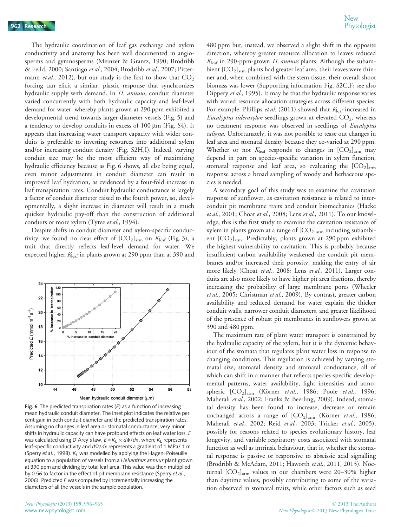The hydraulic coordination of leaf gas exchange and xylem conductivity and anatomy has been well documented in angiosperms and gymnosperms (Meinzer & Grantz, 1990; Brodribb & Feild, 2000; Santiago et al., 2004; Brodribb et al., 2007; Pittermann et al., 2012), but our study is the first to show that  $CO<sub>2</sub>$ forcing can elicit a similar, plastic response that synchronizes hydraulic supply with demand. In H. annuus, conduit diameter varied concurrently with both hydraulic capacity and leaf-level demand for water, whereby plants grown at 290 ppm exhibited a developmental trend towards larger diameter vessels (Fig. 5) and a tendency to develop conduits in excess of  $100 \mu m$  (Fig. S4). It appears that increasing water transport capacity with wider conduits is preferable to investing resources into additional xylem and/or increasing conduit density (Fig. S2H,I). Indeed, varying conduit size may be the most efficient way of maximizing hydraulic efficiency because as Fig. 6 shows, all else being equal, even minor adjustments in conduit diameter can result in improved leaf hydration, as evidenced by a four-fold increase in leaf transpiration rates. Conduit hydraulic conductance is largely a factor of conduit diameter raised to the fourth power, so, developmentally, a slight increase in diameter will result in a much quicker hydraulic pay-off than the construction of additional conduits or more xylem (Tyree et al., 1994).

Despite shifts in conduit diameter and xylem-specific conductivity, we found no clear effect of  $[CO_2]_{\text{atm}}$  on  $K_{\text{leaf}}$  (Fig. 3), a trait that directly reflects leaf-level demand for water. We expected higher  $K_{\text{leaf}}$  in plants grown at 290 ppm than at 390 and



Fig. 6 The predicted transpiration rates  $(E)$  as a function of increasing mean hydraulic conduit diameter. The inset plot indicates the relative per cent gain in both conduit diameter and the predicted transpiration rates. Assuming no changes in leaf area or stomatal conductance, very minor shifts in hydraulic capacity can have profound effects on leaf water loss. E was calculated using D'Arcy's law,  $E = K_L \times d\Psi/dx$ , where K<sub>L</sub> represents leaf-specific conductivity and dΨ/dx represents a gradient of 1 MPa/ 1 m (Sperry et al., 1998).  $K_1$  was modelled by applying the Hagen–Poiseuille equation to a population of vessels from a Helianthus annuus plant grown at 390 ppm and dividing by total leaf area. This value was then multiplied by 0.56 to factor in the effect of pit membrane resistance (Sperry et al., 2006). Predicted  $E$  was computed by incrementally increasing the diameters of all the vessels in the sample population.

480 ppm but, instead, we observed a slight shift in the opposite direction, whereby greater resource allocation to leaves reduced  $K_{\text{leaf}}$  in 290-ppm-grown H. annuus plants. Although the subambient  $[CO<sub>2</sub>]<sub>atm</sub>$  plants had greater leaf area, their leaves were thinner and, when combined with the stem tissue, their overall shoot biomass was lower (Supporting information Fig. S2C,F; see also Dippery et al., 1995). It may be that the hydraulic response varies with varied resource allocation strategies across different species. For example, Phillips *et al.* (2011) showed that  $K_{\text{leaf}}$  increased in Eucalyptus sideroxylon seedlings grown at elevated  $CO<sub>2</sub>$ , whereas no treatment response was observed in seedlings of *Eucalyptus* saligna. Unfortunately, it was not possible to tease out changes in leaf area and stomatal density because they co-varied at 290 ppm. Whether or not  $K_{\text{leaf}}$  responds to changes in  $[CO_2]_{\text{atm}}$  may depend in part on species-specific variation in xylem function, stomatal response and leaf area, so evaluating the  $[CO<sub>2</sub>]_{atm}$ response across a broad sampling of woody and herbaceous species is needed.

A secondary goal of this study was to examine the cavitation response of sunflower, as cavitation resistance is related to interconduit pit membrane traits and conduit biomechanics (Hacke et al., 2001; Choat et al., 2008; Lens et al., 2011). To our knowledge, this is the first study to examine the cavitation resistance of xylem in plants grown at a range of  $[CO<sub>2</sub>]<sub>atm</sub>$  including subambient [CO<sub>2</sub>]<sub>atm</sub>. Predictably, plants grown at 290 ppm exhibited the highest vulnerability to cavitation. This is probably because insufficient carbon availability weakened the conduit pit membranes and/or increased their porosity, making the entry of air more likely (Choat et al., 2008; Lens et al., 2011). Larger conduits are also more likely to have higher pit area fractions, thereby increasing the probability of large membrane pores (Wheeler et al., 2005; Christman et al., 2009). By contrast, greater carbon availability and reduced demand for water explain the thicker conduit walls, narrower conduit diameters, and greater likelihood of the presence of robust pit membranes in sunflowers grown at 390 and 480 ppm.

The maximum rate of plant water transport is constrained by the hydraulic capacity of the xylem, but it is the dynamic behaviour of the stomata that regulates plant water loss in response to changing conditions. This regulation is achieved by varying stomatal size, stomatal density and stomatal conductance, all of which can shift in a manner that reflects species-specific developmental patterns, water availability, light intensities and atmospheric  $[CO<sub>2</sub>]_{atm}$  (Körner et al., 1986; Poole et al., 1996; Maherali et al., 2002; Franks & Beerling, 2009). Indeed, stomatal density has been found to increase, decrease or remain unchanged across a range of  $[CO<sub>2</sub>]<sub>atm</sub>$  (Körner *et al.*, 1986; Maherali et al., 2002; Reid et al., 2003; Tricker et al., 2005), possibly for reasons related to species evolutionary history, leaf longevity, and variable respiratory costs associated with stomatal function as well as intrinsic behaviour, that is, whether the stomatal response is passive or responsive to abscissic acid signalling (Brodribb & McAdam, 2011; Haworth et al., 2011, 2013). Nocturnal  $[CO<sub>2</sub>]_{atm}$  values in our chambers were 20–30% higher than daytime values, possibly contributing to some of the variation observed in stomatal traits, while other factors such as seed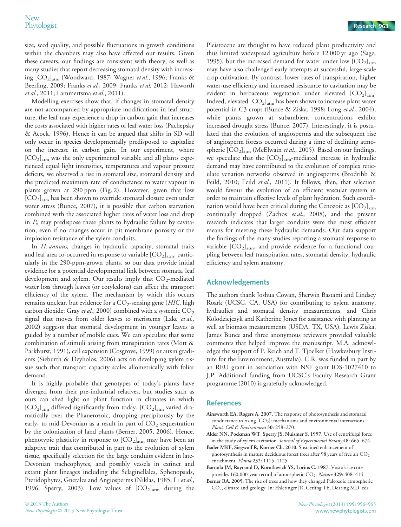size, seed quality, and possible fluctuations in growth conditions within the chambers may also have affected our results. Given these caveats, our findings are consistent with theory, as well as many studies that report decreasing stomatal density with increasing  $[CO_2]_{atm}$  (Woodward, 1987; Wagner et al., 1996; Franks & Beerling, 2009; Franks et al., 2009; Franks et al. 2012; Haworth et al., 2011; Lammertsma et al., 2011).

Modelling exercises show that, if changes in stomatal density are not accompanied by appropriate modifications in leaf structure, the leaf may experience a drop in carbon gain that increases the costs associated with higher rates of leaf water loss (Pachepsky & Acock, 1996). Hence it can be argued that shifts in SD will only occur in species developmentally predisposed to capitalize on the increase in carbon gain. In our experiment, where  $[CO<sub>2</sub>]_{atm}$  was the only experimental variable and all plants experienced equal light intensities, temperatures and vapour pressure deficits, we observed a rise in stomatal size, stomatal density and the predicted maximum rate of conductance to water vapour in plants grown at 290 ppm (Fig. 2). However, given that low  $[CO<sub>2</sub>]_{atm}$  has been shown to override stomatal closure even under water stress (Bunce, 2007), it is possible that carbon starvation combined with the associated higher rates of water loss and drop in  $P_x$  may predispose these plants to hydraulic failure by cavitation, even if no changes occur in pit membrane porosity or the implosion resistance of the xylem conduits.

In H. annuus, changes in hydraulic capacity, stomatal traits and leaf area co-occurred in response to variable  $[CO<sub>2</sub>]<sub>arm</sub>$ , particularly in the 290-ppm-grown plants, so our data provide initial evidence for a potential developmental link between stomata, leaf development and xylem. Our results imply that  $CO_2$ -mediated water loss through leaves (or cotyledons) can affect the transport efficiency of the xylem. The mechanism by which this occurs remains unclear, but evidence for a  $CO_2$ -sensing gene (*HIC*, high carbon dioxide; Gray et al., 2000) combined with a systemic  $CO<sub>2</sub>$ signal that moves from older leaves to meristems (Lake et al., 2002) suggests that stomatal development in younger leaves is guided by a number of mobile cues. We can speculate that some combination of stimuli arising from transpiration rates (Mott & Parkhurst, 1991), cell expansion (Cosgrove, 1999) or auxin gradients (Sieburth & Deyholos, 2006) acts on developing xylem tissue such that transport capacity scales allometrically with foliar demand.

It is highly probable that genotypes of today's plants have diverged from their pre-industrial relatives, but studies such as ours can shed light on plant function in climates in which  $[CO<sub>2</sub>]_{\text{atm}}$  differed significantly from today.  $[CO<sub>2</sub>]_{\text{atm}}$  varied dramatically over the Phanerozoic, dropping precipitously by the early- to mid-Devonian as a result in part of  $CO<sub>2</sub>$  sequestration by the colonization of land plants (Berner, 2005, 2006). Hence, phenotypic plasticity in response to  $[CO<sub>2</sub>]<sub>atm</sub>$  may have been an adaptive trait that contributed in part to the evolution of xylem tissue, specifically selection for the large conduits evident in late-Devonian tracheophytes, and possibly vessels in extinct and extant plant lineages including the Selaginellales, Sphenopsids, Pteridophytes, Gnetales and Angiosperms (Niklas, 1985; Li et al., 1996; Sperry, 2003). Low values of  $[CO<sub>2</sub>]<sub>atm</sub>$  during the

Pleistocene are thought to have reduced plant productivity and thus limited widespread agriculture before 12 000 yr ago (Sage, 1995), but the increased demand for water under low  $[CO<sub>2</sub>]<sub>atm</sub>$ may have also challenged early attempts at successful, large-scale crop cultivation. By contrast, lower rates of transpiration, higher water-use efficiency and increased resistance to cavitation may be evident in herbaceous vegetation under elevated  $[CO<sub>2</sub>]<sub>atm</sub>$ . Indeed, elevated  $[CO_2]_{atm}$  has been shown to increase plant water potential in C3 crops (Bunce & Ziska, 1998; Long et al., 2004), while plants grown at subambient concentrations exhibit increased drought stress (Bunce, 2007). Interestingly, it is postulated that the evolution of angiosperms and the subsequent rise of angiosperm forests occurred during a time of declining atmospheric  $[CO_2]_{atm}$  (McElwain et al., 2005). Based on our findings, we speculate that the  $[CO_2]_{\text{atm}}$ -mediated increase in hydraulic demand may have contributed to the evolution of complex reticulate venation networks observed in angiosperms (Brodribb & Feild, 2010; Feild et al., 2011). It follows, then, that selection would favour the evolution of an efficient vascular system in order to maintain effective levels of plant hydration. Such coordination would have been critical during the Cenozoic as  $[CO<sub>2</sub>]_{\text{atm}}$ continually dropped (Zachos et al., 2008), and the present research indicates that larger conduits were the most efficient means for meeting these hydraulic demands. Our data support the findings of the many studies reporting a stomatal response to variable  $[CO_2]_{atm}$ , and provide evidence for a functional coupling between leaf transpiration rates, stomatal density, hydraulic efficiency and xylem anatomy.

#### Acknowledgements

The authors thank Joshua Cowan, Sherwin Bastami and Lindsey Roark (UCSC, CA, USA) for contributing to xylem anatomy, hydraulics and stomatal density measurements, and Chris Kolodziejczyk and Katherine Jones for assistance with planting as well as biomass measurements (USDA, TX, USA). Lewis Ziska, James Bunce and three anonymous reviewers provided valuable comments that helped improve the manuscript. M.A. acknowledges the support of P. Reich and T. Tjoelker (Hawkesbury Institute for the Environment, Australia). C.R. was funded in part by an REU grant in association with NSF grant IOS-1027410 to J.P. Additional funding from UCSC's Faculty Research Grant programme (2010) is gratefully acknowledged.

#### References

- Ainsworth EA, Rogers A. 2007. The response of photosynthesis and stomatal conductance to rising  $[CO<sub>2</sub>]$ : mechanisms and environmental interactions. Plant, Cell & Environment 30: 258-270.
- Alder NN, Pockman WT, Sperry JS, Nuismer S. 1997. Use of centrifugal force in the study of xylem cavitation. Journal of Experimental Botany 48: 665-674.
- Bader MKF, Siegwolf R, Korner Ch. 2010. Sustained enhancement of photosynthesis in mature deciduous forest trees after 98 years of free air  $CO<sub>2</sub>$ enrichment. Planta 232: 1115-1125.
- Barnola JM, Raynaud D, Korotkevich YS, Lorius C. 1987. Vostok ice core provides 160,000-year record of atmospheric  $CO<sub>2</sub>$ . Nature 329: 408-414.
- Berner RA. 2005. The rise of trees and how they changed Paleozoic atmospheric CO2, climate and geology. In: Ehleringer JR, Cerling TE, Dearing MD, eds.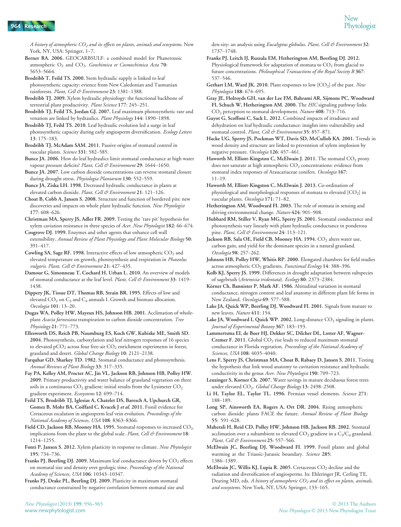A history of atmospheric  $CO_2$  and its effects on plants, animals and ecosystems. New York, NY, USA: Springer, 1–7.

Berner RA. 2006. GEOCARBSULF: a combined model for Phanerozoic atmospheric  $O_2$  and  $CO_2$ . Geochimica et Cosmochimica Acta 70: 5653–5664.

Brodribb T, Feild TS. 2000. Stem hydraulic supply is linked to leaf photosynthetic capacity: evience from New Caledonian and Tasmanian rainforests. Plant, Cell & Environment 23: 1381–1388.

Brodribb TJ. 2009. Xylem hydraulic physiology: the functional backbone of terrestrial plant productivity. Plant Science 177: 245–251.

Brodribb TJ, Feild TS, Jordan GJ. 2007. Leaf maximum photosynthetic rate and venation are linked by hydraulics. Plant Physiology 144: 1890–1898.

Brodribb TJ, Feild TS. 2010. Leaf hydraulic evolution led a surge in leaf photosynthetic capacity during early angiosperm diversification. Ecology Letters 13: 175–183.

Brodribb TJ, McAdam SAM. 2011. Passive origins of stomatal control in vascular plants. Science 331: 582-585.

Bunce JA. 2006. How do leaf hydraulics limit stomatal conductance at high water vapour pressure deficits? Plant, Cell & Environment 29: 1644-1650.

Bunce JA. 2007. Low carbon dioxide concentrations can reverse stomatal closure during drought stress. Physiologia Plantarum 130: 552–559.

Bunce JA, Ziska LH. 1998. Decreased hydraulic conductance in plants at elevated carbon dioxide. Plant, Cell & Environment 21: 121-126.

Choat B, Cobb A, Jansen S. 2008. Structure and function of bordered pits: new discoveries and impacts on whole plant hydraulic function. New Phytologist 177: 608–626.

Christman MA, Sperry JS, Adler FR. 2009. Testing the 'rare pit' hypothesis for xylem caviation resistance in three species of Acer. New Phytologist 182: 66–674.

Cosgrove DJ. 1999. Enzymes and other agents that enhance cell wall extensibility. Annual Review of Plant Physiology and Plant Molecular Biology 50: 391–417.

Cowling SA, Sage RF. 1998. Interactive effects of low atmospheric  $CO<sub>2</sub>$  and elevated temperature on growth, photosynthesis and respiration in Phaseolus vulgaris. Plant, Cell & Environment 21: 427-435.

Damour G, Simonneau T, Cochard H, Urban L. 2010. An overview of models of stomatal conductance at the leaf level. Plant, Cell & Environment 33: 1419-1438.

Dippery JK, Tissue DT, Thomas RB, Strain BR. 1995. Effects of low and elevated  $CO_2$  on  $C_3$  and  $C_4$  annuals I. Growth and biomass allocation. Oecologia 101: 13–20.

Dugas WA, Polley HW, Mayeux HS, Johnson HB. 2001. Acclimation of wholeplant Acacia farnesiana transpiration to carbon dioxide concentration. Tree Physiology 21: 771–773.

Ellesworth DS, Reich PB, Naumburg ES, Koch GW, Kubiske ME, Smith SD. 2004. Photosynthesis, carboxylation and leaf nitrogen responses of 16 species to elevated  $pCO_2$  across four free-air  $CO_2$  enrichment experiments in forest, grassland and desert. Global Change Biology 10: 2121–2138.

Farquhar GD, Sharkey TD. 1982. Stomatal conductance and photosynthesis. Annual Reviews of Plant Biology 33: 317–335.

Fay PA, Kelley AM, Procter AC, Jin VL, Jackson RB, Johnson HB, Polley HW. 2009. Primary productivity and water balance of grassland vegetation on three soils in a continuous  $CO_2$  gradient: initial results from the Lysimeter  $CO_2$ gradient experiment. Ecosystems 12: 699–714.

Feild TS, Brodribb TJ, Iglesias A, Chatelet DS, Baresch A, Upchurch GR, Gomez B, Mohr BA, Coiffard C, Kvacek J et al. 2011. Fossil evidence for Cretaceous escalation in angiosperm leaf vein evolution. Proceedings of the National Academy of Sciences, USA 108: 8363–8366.

Field CD, Jackson RB, Mooney HA. 1995. Stomatal responses to increased CO<sub>2:</sub> implications from the plant to the global scale. Plant, Cell & Environment 18: 1214–1255.

Fonti P, Jansen S. 2012. Xylem plasticity in response to climate. New Phytologist 195: 734–736.

Franks PJ, Beerling DJ. 2009. Maximum leaf conductance driven by  $CO<sub>2</sub>$  effects on stomatal size and density over geologic time. Proceedings of the National Academy of Sciences, USA 106: 10343–10347.

Franks PJ, Drake PL, Beerling DJ. 2009. Plasticity in maximum stomatal conductance constrained by negative correlation between stomatal size and den-sity: an analysis using Eucalyptus globulus. Plant, Cell & Environment 32: 1737–1748.

Franks PJ, Leitch IJ, Ruszala EM, Hetherington AM, Beerling DJ. 2012. Physiological framework for adaptation of stomata to  $CO<sub>2</sub>$  from glacial to future concentrations. Philosophical Transactions of the Royal Society B 367: 537–546.

Gerhart LM, Ward JK. 2010. Plant responses to low [CO<sub>2</sub>] of the past. New Phytologist 188: 674–695.

Gray JE, Holroyds GH, van der Lee FM, Bahrami AR, Sijmons PC, Woodward FI, Schuch W, Hetherington AM. 2000. The HIC signaling pathway links CO<sub>2</sub> perception to stomatal development. Nature 408: 713-716.

Guyot G, Scoffoni C, Sack L. 2012. Combined impacts of irradiance and dehydration on leaf hydraulic conductance: insights into vulnerability and stomatal control. Plant, Cell & Environment 35: 857-871.

Hacke UG, Sperry JS, Pockman WT, Davis SD, McCulloh KA. 2001. Trends in wood density and structure are linked to prevention of xylem implosion by negative pressure. Oecologia 126: 457–461.

Haworth M, Elliott-Kingston C, McElwain J. 2011. The stomatal CO<sub>2</sub> proxy does not saturate at high atmospheric CO<sub>2</sub> concentrations: evidence from stomatal index responses of Araucariaceae conifers. Oecologia 167: 11–19.

Haworth M, Elliott-Kingston C, McElwain J. 2013. Co-ordination of physiological and morphological responses of stomata to elevated  $[CO<sub>2</sub>]$  in vascular plants. Oecologia 171: 71–82.

Hetherington AM, Woodward FI. 2003. The role of stomata in sensing and driving environmental change. Nature 424: 901-908.

Hubbard RM, Stiller V, Ryan MG, Sperry JS. 2001. Stomatal conductance and photosynthesis vary linearly with plant hydraulic conductance in ponderosa pine. Plant, Cell & Environment 24: 113-121.

Jackson RB, Sala OE, Field CB, Mooney HA. 1994. CO<sub>2</sub> alters water use, carbon gain, and yield for the dominant species in a natural grassland. Oecologia 98: 257–262.

Johnson HB, Polley HW, Whitis RP. 2000. Elongated chambers for field studies across atmospheric CO<sub>2</sub> gradients. Functional Ecology 14: 388-396.

Kolb KJ, Sperry JS. 1999. Differences in drought adaptation between subspecies of sagebrush (Artemisia tridentata). Ecology 80: 2373–2384.

Körner Ch, Bannister P, Mark AF. 1986. Altitudinal variation in stomatal conductance, nitrogen content and leaf anatomy in different plant life forms in New Zealand. Oecologia 69: 577-588.

Lake JA, Quick WP, Beerling DJ, Woodward FI. 2001. Signals from mature to new leaves. Nature 411: 154.

Lake JA, Woodward I, Quick WP. 2002. Long-distance  $CO_2$  signaling in plants. Journal of Experimental Botany 367: 183–193.

Lammertsma EI, de Boer HJ, Dekker SC, Dilcher DL, Lotter AF, Wagner-Cremer F. 2011. Global  $CO<sub>2</sub>$  rise leads to reduced maximum stomatal conductance in Florida vegetation. Proceedings of the National Academy of Sciences, USA 108: 4035–4040.

Lens F, Sperry JS, Christman MA, Choat B, Rabaey D, Jansen S. 2011. Testing the hypothesis that link wood anatomy to cavitation resistance and hydraulic conductivity in the genus Acer. New Phytologist 190: 709–723.

Leuzinger S, Korner Ch. 2007. Water savings in mature deciduous forest trees under elevated CO<sub>2</sub>. Global Change Biology 13: 2498-2508.

Li H, Taylor EL, Taylor TL. 1996. Permian vessel elements. Science 271: 188–189.

Long SP, Ainsworth EA, Rogers A, Ort DR. 2004. Rising atmospheric carbon dioxide: plants FACE the future. Annual Review of Plant Biology 55: 591–628.

Maherali H, Reid CD, Polley HW, Johnson HB, Jackson RB. 2002. Stomatal acclimation over a subambient to elevated  $CO<sub>2</sub>$  gradient in a  $C<sub>3</sub>/C<sub>4</sub>$  grassland. Plant, Cell & Environment 25: 557-566.

McElwain JC, Beerling DJ, Woodward FI. 1999. Fossil plants and global warming at the Triassic-Jurassic boundary. Science 285: 1386–1389.

McElwain JC, Willis KJ, Lupia R. 2005. Cretaceous  $CO<sub>2</sub>$  decline and the radiation and diversification of angiosperms. In: Ehleringer JR, Cerling TE, Dearing MD, eds. A history of atmospheric  $CO<sub>2</sub>$  and its effect on plants, animals, and ecosystems. New York, NY, USA: Springer, 133-165.